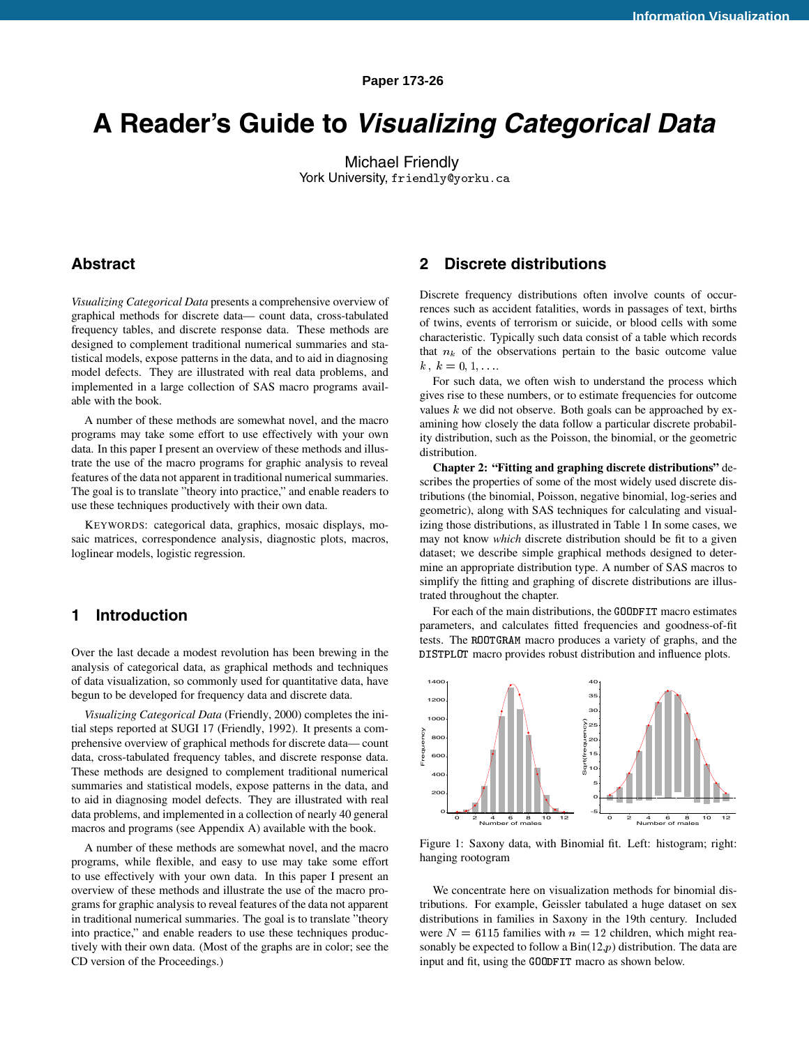**Paper 173-26**

# **A Reader's Guide to Visualizing Categorical Data**

Michael Friendly York University, friendly@yorku.ca

# **Abstract**

*Visualizing Categorical Data* presents a comprehensive overview of graphical methods for discrete data— count data, cross-tabulated frequency tables, and discrete response data. These methods are designed to complement traditional numerical summaries and statistical models, expose patterns in the data, and to aid in diagnosing model defects. They are illustrated with real data problems, and implemented in a large collection of SAS macro programs available with the book.

A number of these methods are somewhat novel, and the macro programs may take some effort to use effectively with your own data. In this paper I present an overview of these methods and illustrate the use of the macro programs for graphic analysis to reveal features of the data not apparent in traditional numerical summaries. The goal is to translate "theory into practice," and enable readers to use these techniques productively with their own data.

KEYWORDS: categorical data, graphics, mosaic displays, mosaic matrices, correspondence analysis, diagnostic plots, macros, loglinear models, logistic regression.

# **1 Introduction**

Over the last decade a modest revolution has been brewing in the analysis of categorical data, as graphical methods and techniques of data visualization, so commonly used for quantitative data, have begun to be developed for frequency data and discrete data.

*Visualizing Categorical Data* (Friendly, 2000) completes the initial steps reported at SUGI 17 (Friendly, 1992). It presents a comprehensive overview of graphical methods for discrete data— count data, cross-tabulated frequency tables, and discrete response data. These methods are designed to complement traditional numerical summaries and statistical models, expose patterns in the data, and to aid in diagnosing model defects. They are illustrated with real data problems, and implemented in a collection of nearly 40 general macros and programs (see Appendix A) available with the book.

A number of these methods are somewhat novel, and the macro programs, while flexible, and easy to use may take some effort to use effectively with your own data. In this paper I present an overview of these methods and illustrate the use of the macro programs for graphic analysis to reveal features of the data not apparent in traditional numerical summaries. The goal is to translate "theory into practice," and enable readers to use these techniques productively with their own data. (Most of the graphs are in color; see the CD version of the Proceedings.)

# **2 Discrete distributions**

Discrete frequency distributions often involve counts of occurrences such as accident fatalities, words in passages of text, births of twins, events of terrorism or suicide, or blood cells with some characteristic. Typically such data consist of a table which records that  $n_k$  of the observations pertain to the basic outcome value  $k, k = 0, 1, \ldots$ 

For such data, we often wish to understand the process which gives rise to these numbers, or to estimate frequencies for outcome values  $k$  we did not observe. Both goals can be approached by examining how closely the data follow a particular discrete probability distribution, such as the Poisson, the binomial, or the geometric distribution.

**Chapter 2: "Fitting and graphing discrete distributions"** describes the properties of some of the most widely used discrete distributions (the binomial, Poisson, negative binomial, log-series and geometric), along with SAS techniques for calculating and visualizing those distributions, as illustrated in Table 1 In some cases, we may not know *which* discrete distribution should be fit to a given dataset; we describe simple graphical methods designed to determine an appropriate distribution type. A number of SAS macros to simplify the fitting and graphing of discrete distributions are illustrated throughout the chapter.

For each of the main distributions, the GOODFIT macro estimates parameters, and calculates fitted frequencies and goodness-of-fit tests. The ROOTGRAM macro produces a variety of graphs, and the DISTPLOT macro provides robust distribution and influence plots.



Figure 1: Saxony data, with Binomial fit. Left: histogram; right: hanging rootogram

We concentrate here on visualization methods for binomial distributions. For example, Geissler tabulated a huge dataset on sex distributions in families in Saxony in the 19th century. Included were  $N = 6115$  families with  $n = 12$  children, which might reasonably be expected to follow a  $Bin(12,p)$  distribution. The data are input and fit, using the GOODFIT macro as shown below.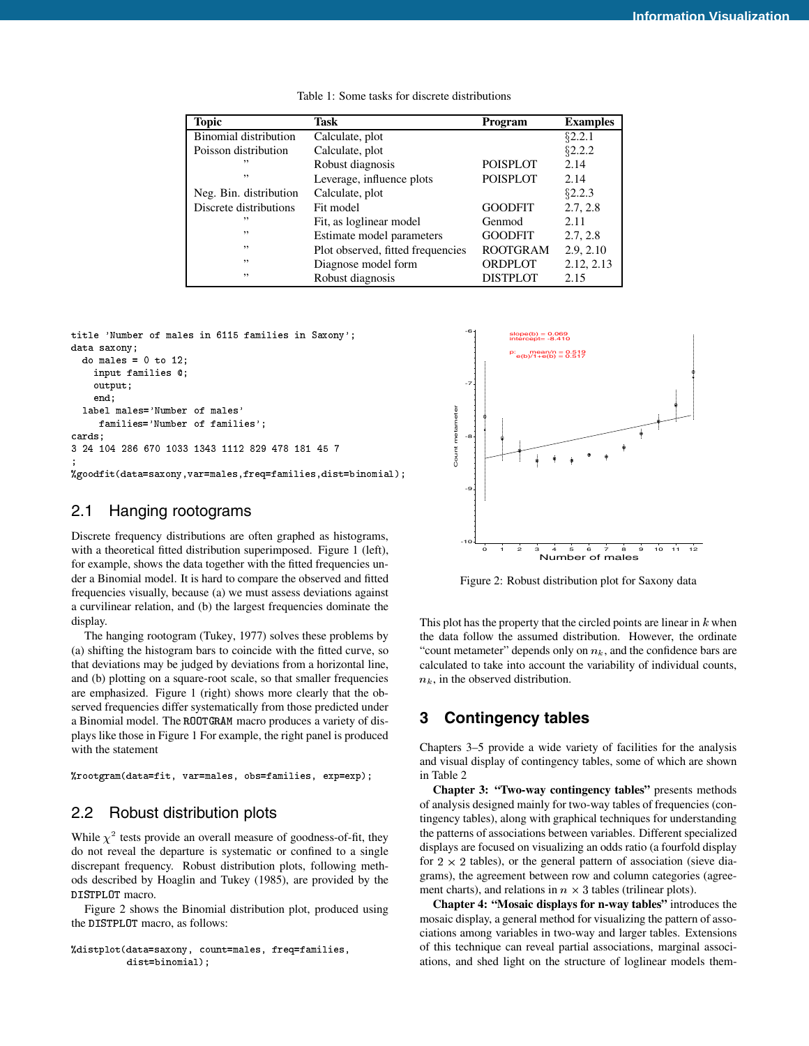| <b>Topic</b>                 | Task                              | Program         | <b>Examples</b> |
|------------------------------|-----------------------------------|-----------------|-----------------|
| <b>Binomial distribution</b> | Calculate, plot                   |                 | \$2.2.1         |
| Poisson distribution         | Calculate, plot                   |                 | §2.2.2          |
| , ,                          | Robust diagnosis                  | <b>POISPLOT</b> | 2.14            |
| , 1                          | Leverage, influence plots         | <b>POISPLOT</b> | 2.14            |
| Neg. Bin. distribution       | Calculate, plot                   |                 | \$2.2.3         |
| Discrete distributions       | Fit model                         | <b>GOODFIT</b>  | 2.7, 2.8        |
| ,,                           | Fit, as loglinear model           | Genmod          | 2.11            |
| , ,                          | Estimate model parameters         | <b>GOODFIT</b>  | 2.7, 2.8        |
| , ,                          | Plot observed, fitted frequencies | <b>ROOTGRAM</b> | 2.9, 2.10       |
| , ,                          | Diagnose model form               | ORDPLOT         | 2.12, 2.13      |
| , ,                          | Robust diagnosis                  | <b>DISTPLOT</b> | 2.15            |

Table 1: Some tasks for discrete distributions

```
title 'Number of males in 6115 families in Saxony';
data saxony;
```

```
do males = 0 to 12:
     d and d to 12; d 12; d 12; d 12; d 12; d 12; d 12; d 12; d 12; d 12; d 12; d 12; d 12; d 12; d 12; d 12; d 12; d 12; d 12; d 12; d 12; d 12; d 12; d 12; d 12; d 12; dinput families @;
         output;
         end;
    label males='Number of males'
           families='Number of families';
cards:
cards and cards are constructed and constructed and constructed and constructed and constructed and constructed and constructed and constructed and constructed and constructed and constructed and constructed and constructe
3 24 104 286 670 1033 1343 1112 829 478 181 45 7
;
%goodfit(data=saxony,var=males,freq=families,dist=binomial);
```
## 2.1 Hanging rootograms

Discrete frequency distributions are often graphed as histograms, with a theoretical fitted distribution superimposed. Figure 1 (left), for example, shows the data together with the fitted frequencies under a Binomial model. It is hard to compare the observed and fitted frequencies visually, because (a) we must assess deviations against a curvilinear relation, and (b) the largest frequencies dominate the display.

The hanging rootogram (Tukey, 1977) solves these problems by (a) shifting the histogram bars to coincide with the fitted curve, so that deviations may be judged by deviations from a horizontal line, and (b) plotting on a square-root scale, so that smaller frequencies are emphasized. Figure 1 (right) shows more clearly that the observed frequencies differ systematically from those predicted under a Binomial model. The ROOTGRAM macro produces a variety of displays like those in Figure 1 For example, the right panel is produced with the statement

%rootgram(data=fit, var=males, obs=families, exp=exp);

# 2.2 Robust distribution plots

While  $\chi^2$  tests provide an overall measure of goodness-of-fit, they do not reveal the departure is systematic or confined to a single discrepant frequency. Robust distribution plots, following methods described by Hoaglin and Tukey (1985), are provided by the DISTPLOT macro.

Figure 2 shows the Binomial distribution plot, produced using the DISTPLOT macro, as follows:

```
%distplot(data=saxony, count=males, freq=families,
          dist=binomial);
```


Figure 2: Robust distribution plot for Saxony data

This plot has the property that the circled points are linear in  $k$  when the data follow the assumed distribution. However, the ordinate "count metameter" depends only on  $n_k$ , and the confidence bars are calculated to take into account the variability of individual counts,  $n_k$ , in the observed distribution.

# **3 Contingency tables**

Chapters 3–5 provide a wide variety of facilities for the analysis and visual display of contingency tables, some of which are shown in Table 2

**Chapter 3: "Two-way contingency tables"** presents methods of analysis designed mainly for two-way tables of frequencies (contingency tables), along with graphical techniques for understanding the patterns of associations between variables. Different specialized displays are focused on visualizing an odds ratio (a fourfold display for  $2 \times 2$  tables), or the general pattern of association (sieve diagrams), the agreement between row and column categories (agreement charts), and relations in  $n \times 3$  tables (trilinear plots).

**Chapter 4: "Mosaic displays for n-way tables"** introduces the mosaic display, a general method for visualizing the pattern of associations among variables in two-way and larger tables. Extensions of this technique can reveal partial associations, marginal associations, and shed light on the structure of loglinear models them-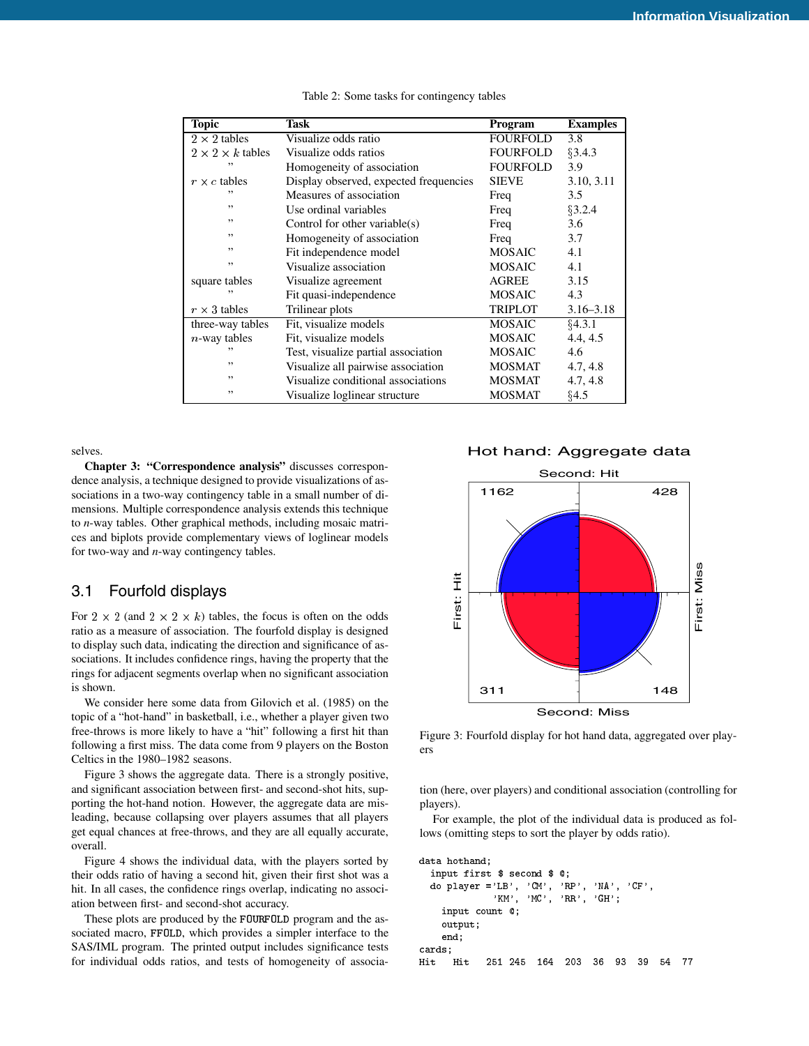| Topic                        | <b>Task</b>                            |                 | <b>Examples</b> |  |
|------------------------------|----------------------------------------|-----------------|-----------------|--|
| $2 \times 2$ tables          | Visualize odds ratio                   | <b>FOURFOLD</b> | 3.8             |  |
| $2 \times 2 \times k$ tables | Visualize odds ratios                  | <b>FOURFOLD</b> | §3.4.3          |  |
| ,,                           | Homogeneity of association             | <b>FOURFOLD</b> | 3.9             |  |
| $r \times c$ tables          | Display observed, expected frequencies | <b>SIEVE</b>    | 3.10, 3.11      |  |
| ,,                           | Measures of association                | Freq            | 3.5             |  |
| ,,                           | Use ordinal variables                  | Freq            | §3.2.4          |  |
| ,,                           | Control for other variable $(s)$       | Freq            | 3.6             |  |
| ,,                           | Homogeneity of association             | Freq            | 3.7             |  |
| ,,                           | Fit independence model                 | <b>MOSAIC</b>   | 4.1             |  |
| ,,                           | Visualize association                  | <b>MOSAIC</b>   | 4.1             |  |
| square tables                | Visualize agreement                    | <b>AGREE</b>    | 3.15            |  |
| ,,                           | Fit quasi-independence                 | <b>MOSAIC</b>   | 4.3             |  |
| $r \times 3$ tables          | Trilinear plots                        | <b>TRIPLOT</b>  | $3.16 - 3.18$   |  |
| three-way tables             | Fit, visualize models                  | <b>MOSAIC</b>   | 64.3.1          |  |
| $n$ -way tables              | Fit, visualize models                  | <b>MOSAIC</b>   | 4.4, 4.5        |  |
| ,,                           | Test, visualize partial association    | <b>MOSAIC</b>   | 4.6             |  |
| ,,                           | Visualize all pairwise association     | <b>MOSMAT</b>   | 4.7, 4.8        |  |
| ,,                           | Visualize conditional associations     | <b>MOSMAT</b>   | 4.7, 4.8        |  |
| ,,                           | Visualize loglinear structure          | <b>MOSMAT</b>   | §4.5            |  |

Table 2: Some tasks for contingency tables

selves.

**Chapter 3: "Correspondence analysis"** discusses correspondence analysis, a technique designed to provide visualizations of associations in a two-way contingency table in a small number of dimensions. Multiple correspondence analysis extends this technique to *n*-way tables. Other graphical methods, including mosaic matrices and biplots provide complementary views of loglinear models for two-way and *n*-way contingency tables.

#### 3.1 Fourfold displays

For  $2 \times 2$  (and  $2 \times 2 \times k$ ) tables, the focus is often on the odds ratio as a measure of association. The fourfold display is designed to display such data, indicating the direction and significance of associations. It includes confidence rings, having the property that the rings for adjacent segments overlap when no significant association is shown.

We consider here some data from Gilovich et al. (1985) on the topic of a "hot-hand" in basketball, i.e., whether a player given two free-throws is more likely to have a "hit" following a first hit than following a first miss. The data come from 9 players on the Boston Celtics in the 1980–1982 seasons.

Figure 3 shows the aggregate data. There is a strongly positive, and significant association between first- and second-shot hits, supporting the hot-hand notion. However, the aggregate data are misleading, because collapsing over players assumes that all players get equal chances at free-throws, and they are all equally accurate, overall.

Figure 4 shows the individual data, with the players sorted by their odds ratio of having a second hit, given their first shot was a hit. In all cases, the confidence rings overlap, indicating no association between first- and second-shot accuracy.

These plots are produced by the FOURFOLD program and the associated macro, FFOLD, which provides a simpler interface to the SAS/IML program. The printed output includes significance tests for individual odds ratios, and tests of homogeneity of associa-

Hot hand: Aggregate data



Figure 3: Fourfold display for hot hand data, aggregated over players

tion (here, over players) and conditional association (controlling for players).

For example, the plot of the individual data is produced as follows (omitting steps to sort the player by odds ratio).

```
data hothand;
     input first $ second $ @;
do player ='LB', 'CM', 'RP', 'NA', 'CF',
                             'KM', 'MC', 'RR', 'GH';
        input count @;
        output;
        end;
cards:
cards; and cards are controlled and controlled and controlled and controlled and controlled and controlled and controlled and controlled and controlled and controlled and controlled and controlled and controlled and contro
Hit Hit 251 245 164 203 36 93 39 54 77
```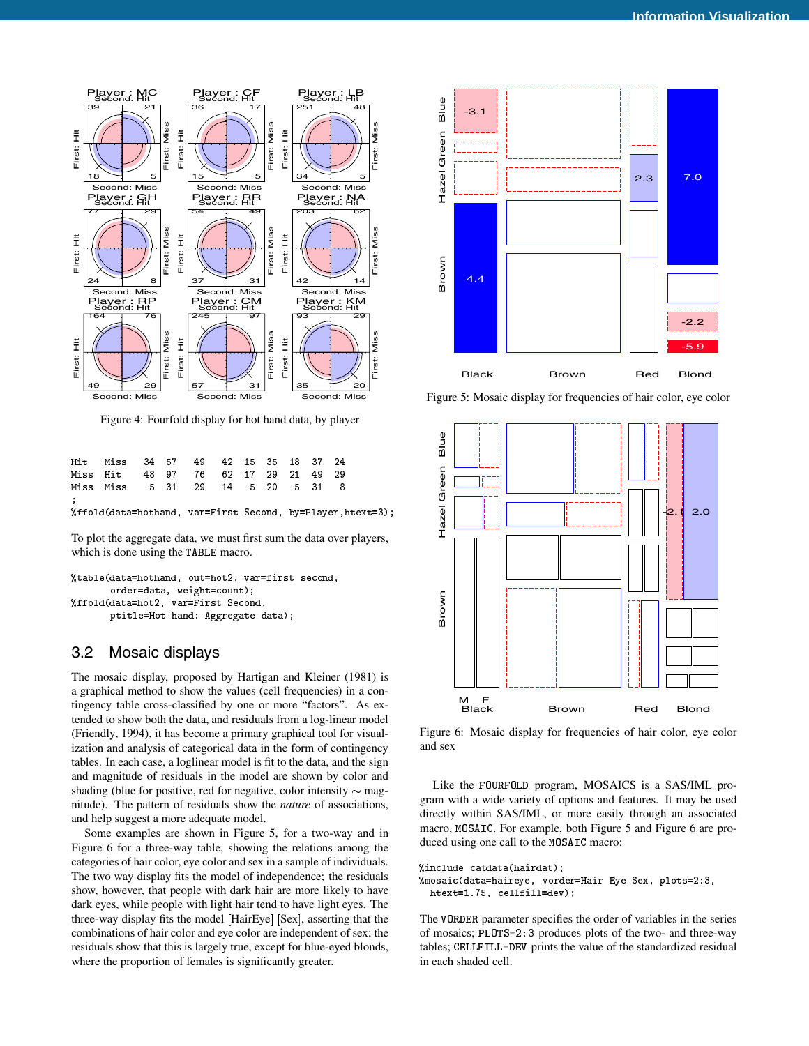

Figure 4: Fourfold display for hot hand data, by player

|               | Hit Miss 34 57 49 42 15 35 18 37 24                        |  |  |  |  |  |
|---------------|------------------------------------------------------------|--|--|--|--|--|
|               | Miss Hit 48 97 76 62 17 29 21 49 29                        |  |  |  |  |  |
|               | Miss Miss 5 31 29 14 5 20 5 31 8                           |  |  |  |  |  |
| $\mathcal{L}$ | "ffold(data=hothand, var=First Second, by=Player.htext=3); |  |  |  |  |  |

To plot the aggregate data, we must first sum the data over players, which is done using the TABLE macro.

```
%table(data=hothand, out=hot2, var=first second,
       order=data, weight=count);
%ffold(data=hot2, var=First Second,
       ptitle=Hot hand: Aggregate data);
```
#### 3.2 Mosaic displays

The mosaic display, proposed by Hartigan and Kleiner (1981) is a graphical method to show the values (cell frequencies) in a contingency table cross-classified by one or more "factors". As extended to show both the data, and residuals from a log-linear model (Friendly, 1994), it has become a primary graphical tool for visualization and analysis of categorical data in the form of contingency tables. In each case, a loglinear model is fit to the data, and the sign and magnitude of residuals in the model are shown by color and shading (blue for positive, red for negative, color intensity  $\sim$  magnitude). The pattern of residuals show the *nature* of associations, and help suggest a more adequate model.

Some examples are shown in Figure 5, for a two-way and in Figure 6 for a three-way table, showing the relations among the categories of hair color, eye color and sex in a sample of individuals. The two way display fits the model of independence; the residuals show, however, that people with dark hair are more likely to have dark eyes, while people with light hair tend to have light eyes. The three-way display fits the model [HairEye] [Sex], asserting that the combinations of hair color and eye color are independent of sex; the residuals show that this is largely true, except for blue-eyed blonds, where the proportion of females is significantly greater.



Figure 5: Mosaic display for frequencies of hair color, eye color



Figure 6: Mosaic display for frequencies of hair color, eye color and sex

Like the FOURFOLD program, MOSAICS is a SAS/IML program with a wide variety of options and features. It may be used directly within SAS/IML, or more easily through an associated macro, MOSAIC. For example, both Figure 5 and Figure 6 are produced using one call to the MOSAIC macro:

```
%include catdata(hairdat);
%mosaic(data=haireye, vorder=Hair Eye Sex, plots=2:3,
 htext=1.75, cellfill=dev);
```
The VORDER parameter specifies the order of variables in the series of mosaics; PLOTS=2:3 produces plots of the two- and three-way tables; CELLFILL=DEV prints the value of the standardized residual in each shaded cell.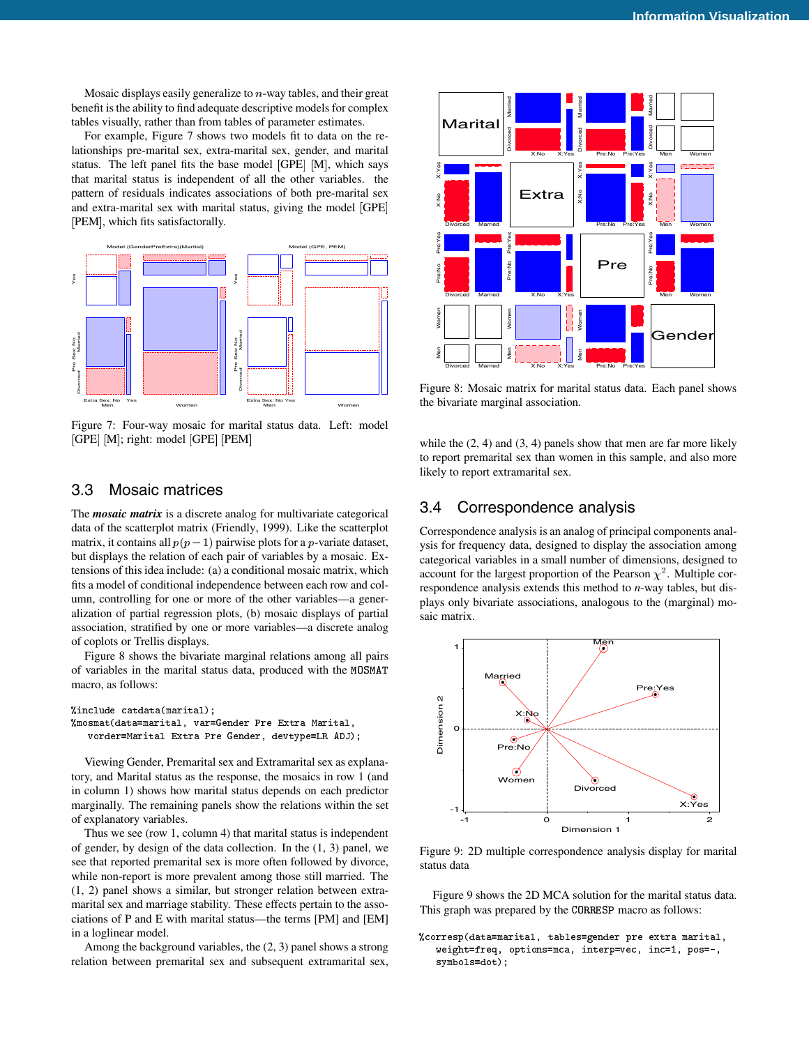Mosaic displays easily generalize to  $n$ -way tables, and their great benefit is the ability to find adequate descriptive models for complex tables visually, rather than from tables of parameter estimates.

For example, Figure 7 shows two models fit to data on the relationships pre-marital sex, extra-marital sex, gender, and marital status. The left panel fits the base model [GPE] [M], which says that marital status is independent of all the other variables. the pattern of residuals indicates associations of both pre-marital sex and extra-marital sex with marital status, giving the model [GPE] [PEM], which fits satisfactorally.



Figure 7: Four-way mosaic for marital status data. Left: model [GPE] [M]; right: model [GPE] [PEM]

## 3.3 Mosaic matrices

The *mosaic matrix* is a discrete analog for multivariate categorical data of the scatterplot matrix (Friendly, 1999). Like the scatterplot matrix, it contains all  $p(p-1)$  pairwise plots for a *p*-variate dataset, but displays the relation of each pair of variables by a mosaic. Extensions of this idea include: (a) a conditional mosaic matrix, which fits a model of conditional independence between each row and column, controlling for one or more of the other variables—a generalization of partial regression plots, (b) mosaic displays of partial association, stratified by one or more variables—a discrete analog of coplots or Trellis displays.

Figure 8 shows the bivariate marginal relations among all pairs of variables in the marital status data, produced with the MOSMAT macro, as follows:

```
%include catdata(marital);
%mosmat(data=marital, var=Gender Pre Extra Marital,
   vorder=Marital Extra Pre Gender, devtype=LR ADJ);
```
Viewing Gender, Premarital sex and Extramarital sex as explanatory, and Marital status as the response, the mosaics in row 1 (and in column 1) shows how marital status depends on each predictor marginally. The remaining panels show the relations within the set of explanatory variables.

Thus we see (row 1, column 4) that marital status is independent of gender, by design of the data collection. In the (1, 3) panel, we see that reported premarital sex is more often followed by divorce, while non-report is more prevalent among those still married. The (1, 2) panel shows a similar, but stronger relation between extramarital sex and marriage stability. These effects pertain to the associations of P and E with marital status—the terms [PM] and [EM] in a loglinear model.

Among the background variables, the (2, 3) panel shows a strong relation between premarital sex and subsequent extramarital sex,



Figure 8: Mosaic matrix for marital status data. Each panel shows the bivariate marginal association.

while the  $(2, 4)$  and  $(3, 4)$  panels show that men are far more likely to report premarital sex than women in this sample, and also more likely to report extramarital sex.

#### 3.4 Correspondence analysis

Correspondence analysis is an analog of principal components analysis for frequency data, designed to display the association among categorical variables in a small number of dimensions, designed to account for the largest proportion of the Pearson  $\chi^2$ . Multiple correspondence analysis extends this method to *n*-way tables, but displays only bivariate associations, analogous to the (marginal) mosaic matrix.



Figure 9: 2D multiple correspondence analysis display for marital status data

Figure 9 shows the 2D MCA solution for the marital status data. This graph was prepared by the CORRESP macro as follows:

```
%corresp(data=marital, tables=gender pre extra marital,
   weight=freq, options=mca, interp=vec, inc=1, pos=-,
   symbols=dot);
```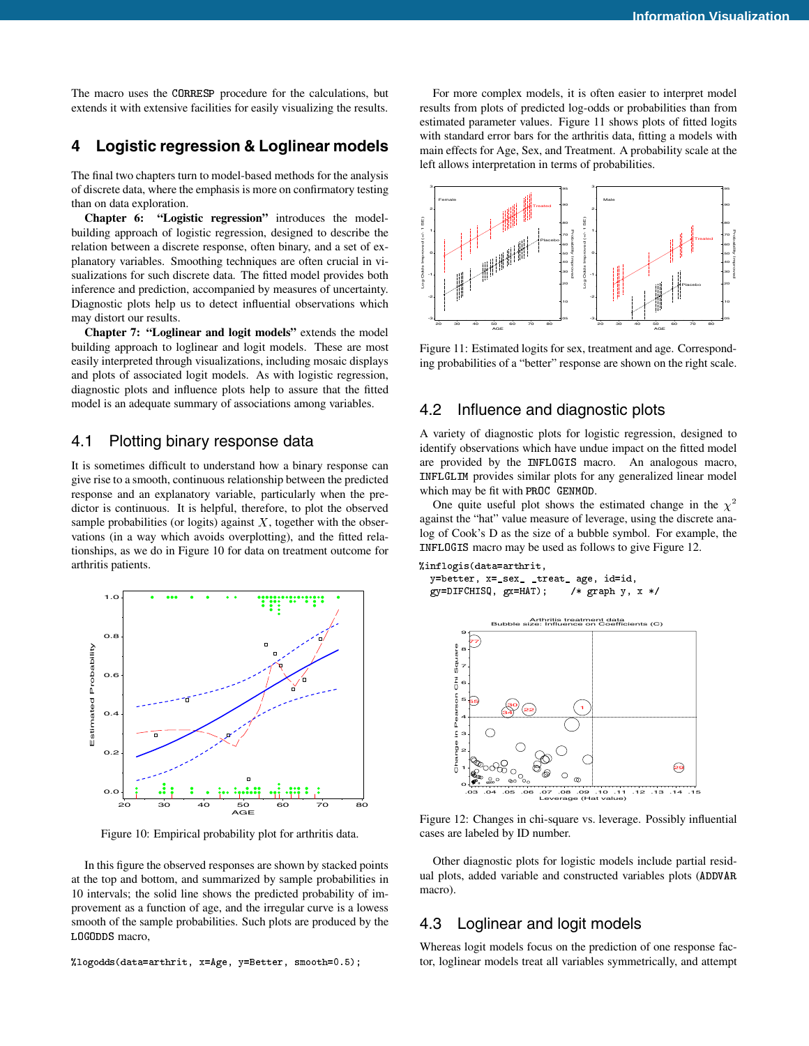The macro uses the CORRESP procedure for the calculations, but extends it with extensive facilities for easily visualizing the results.

# **4 Logistic regression & Loglinear models**

The final two chapters turn to model-based methods for the analysis of discrete data, where the emphasis is more on confirmatory testing than on data exploration.

**Chapter 6: "Logistic regression"** introduces the modelbuilding approach of logistic regression, designed to describe the relation between a discrete response, often binary, and a set of explanatory variables. Smoothing techniques are often crucial in visualizations for such discrete data. The fitted model provides both inference and prediction, accompanied by measures of uncertainty. Diagnostic plots help us to detect influential observations which may distort our results.

**Chapter 7: "Loglinear and logit models"** extends the model building approach to loglinear and logit models. These are most easily interpreted through visualizations, including mosaic displays and plots of associated logit models. As with logistic regression, diagnostic plots and influence plots help to assure that the fitted model is an adequate summary of associations among variables.

#### 4.1 Plotting binary response data

It is sometimes difficult to understand how a binary response can give rise to a smooth, continuous relationship between the predicted response and an explanatory variable, particularly when the predictor is continuous. It is helpful, therefore, to plot the observed sample probabilities (or logits) against  $X$ , together with the observations (in a way which avoids overplotting), and the fitted relationships, as we do in Figure 10 for data on treatment outcome for arthritis patients.



Figure 10: Empirical probability plot for arthritis data.

In this figure the observed responses are shown by stacked points at the top and bottom, and summarized by sample probabilities in 10 intervals; the solid line shows the predicted probability of improvement as a function of age, and the irregular curve is a lowess smooth of the sample probabilities. Such plots are produced by the LOGODDS macro,

%logodds(data=arthrit, x=Age, y=Better, smooth=0.5);

For more complex models, it is often easier to interpret model results from plots of predicted log-odds or probabilities than from estimated parameter values. Figure 11 shows plots of fitted logits with standard error bars for the arthritis data, fitting a models with main effects for Age, Sex, and Treatment. A probability scale at the left allows interpretation in terms of probabilities.



Figure 11: Estimated logits for sex, treatment and age. Corresponding probabilities of a "better" response are shown on the right scale.

#### 4.2 Influence and diagnostic plots

A variety of diagnostic plots for logistic regression, designed to identify observations which have undue impact on the fitted model are provided by the INFLOGIS macro. An analogous macro, INFLGLIM provides similar plots for any generalized linear model which may be fit with PROC GENMOD.

One quite useful plot shows the estimated change in the  $\chi^2$ against the "hat" value measure of leverage, using the discrete analog of Cook's D as the size of a bubble symbol. For example, the INFLOGIS macro may be used as follows to give Figure 12.

```
%inflogis(data=arthrit,
 y=better, x=_sex_ _treat_ age, id=id,
 gy=DIFCHISQ, gx=HAT; /* graph y, x*/
```


Figure 12: Changes in chi-square vs. leverage. Possibly influential cases are labeled by ID number.

Other diagnostic plots for logistic models include partial residual plots, added variable and constructed variables plots (ADDVAR macro).

## 4.3 Loglinear and logit models

Whereas logit models focus on the prediction of one response factor, loglinear models treat all variables symmetrically, and attempt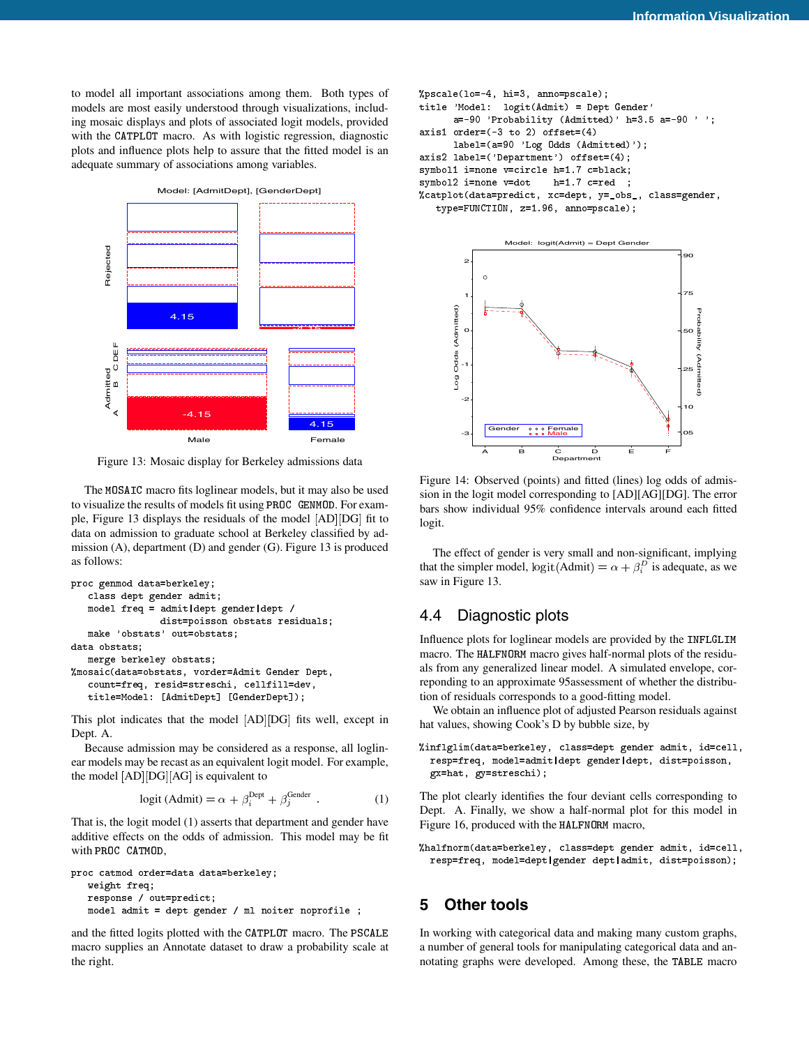to model all important associations among them. Both types of models are most easily understood through visualizations, including mosaic displays and plots of associated logit models, provided with the CATPLOT macro. As with logistic regression, diagnostic plots and influence plots help to assure that the fitted model is an adequate summary of associations among variables.



Figure 13: Mosaic display for Berkeley admissions data

The MOSAIC macro fits loglinear models, but it may also be used to visualize the results of models fit using PROC GENMOD. For example, Figure 13 displays the residuals of the model [AD][DG] fit to data on admission to graduate school at Berkeley classified by admission (A), department (D) and gender (G). Figure 13 is produced as follows:

```
proc genmod data=berkeley;
   class dept gender admit;
   model freq = admit|dept gender|dept /
               dist=poisson obstats residuals;
   make 'obstats' out=obstats;
data obstats:
data obstats;
   merge berkeley obstats;
%mosaic(data=obstats, vorder=Admit Gender Dept,
   count=freq, resid=streschi, cellfill=dev,
   title=Model: [AdmitDept] [GenderDept]);
```
This plot indicates that the model [AD][DG] fits well, except in Dept. A.

Because admission may be considered as a response, all loglinear models may be recast as an equivalent logit model. For example, the model [AD][DG][AG] is equivalent to

$$
logit (Admit) = \alpha + \beta_i^{Depth} + \beta_j^{Gender}
$$
 (1)

That is, the logit model (1) asserts that department and gender have additive effects on the odds of admission. This model may be fit with PROC CATMOD,

```
proc catmod order=data data=berkeley;
   weight freq;
  response / out=predict;
  model admit = dept gender / ml noiter noprofile ;
```
and the fitted logits plotted with the CATPLOT macro. The PSCALE macro supplies an Annotate dataset to draw a probability scale at the right.

```
%pscale(lo=-4, hi=3, anno=pscale);
title 'Model: logit(Admit) = Dept Gender'
      a=-90 'Probability (Admitted)' h=3.5 a=-90 '';
axis1 order=(-3 to 2) offset=(4)
      label=(a=90 'Log Odds (Admitted)');
axis2 label=('Department') offset=(4);
symbol1 i=none v=circle h=1.7 c=black;
symbol2 i=none v=dot h=1.7 c=red ;
%catplot(data=predict, xc=dept, y=_obs_, class=gender,
   type=FUNCTION, z=1.96, anno=pscale);
```


Figure 14: Observed (points) and fitted (lines) log odds of admission in the logit model corresponding to [AD][AG][DG]. The error bars show individual 95% confidence intervals around each fitted logit.

The effect of gender is very small and non-significant, implying that the simpler model, logit (Admit) =  $\alpha + \beta_i^D$  is adequate, as we saw in Figure 13.

# 4.4 Diagnostic plots

Influence plots for loglinear models are provided by the INFLGLIM macro. The HALFNORM macro gives half-normal plots of the residuals from any generalized linear model. A simulated envelope, correponding to an approximate 95assessment of whether the distribution of residuals corresponds to a good-fitting model.

We obtain an influence plot of adjusted Pearson residuals against hat values, showing Cook's D by bubble size, by

```
%inflglim(data=berkeley, class=dept gender admit, id=cell,
 resp=freq, model=admit|dept gender|dept, dist=poisson,
 gx=hat, gy=streschi);
```
The plot clearly identifies the four deviant cells corresponding to Dept. A. Finally, we show a half-normal plot for this model in Figure 16, produced with the HALFNORM macro,

%halfnorm(data=berkeley, class=dept gender admit, id=cell, resp=freq, model=dept|gender dept|admit, dist=poisson);

# **5 Other tools**

In working with categorical data and making many custom graphs, a number of general tools for manipulating categorical data and annotating graphs were developed. Among these, the TABLE macro